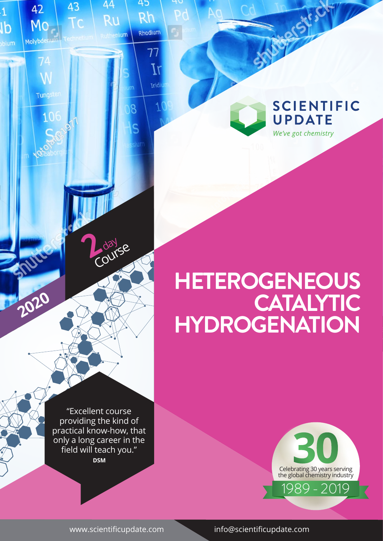**SCIENTIFIC UPDATE** We've got chemistry

# **HETEROGENEOUS CATALYTIC HYDROGENATION**

"Excellent course providing the kind of practical know-how, that only a long career in the field will teach you." **DSM**

**2** day

43

42

Mo

Molybdenu

74

Tungster

 $10$ 

 $\overline{1}$ 

Ib

44

Ru

**Fenium** 

m

 $\overline{8}$ 

Ś

45

 $Rh$ 

Rhodium

77

 $\overline{I}$ 

**Iridi** 

Course

**2020**

ROL



www.scientificupdate.com info@scientificupdate.com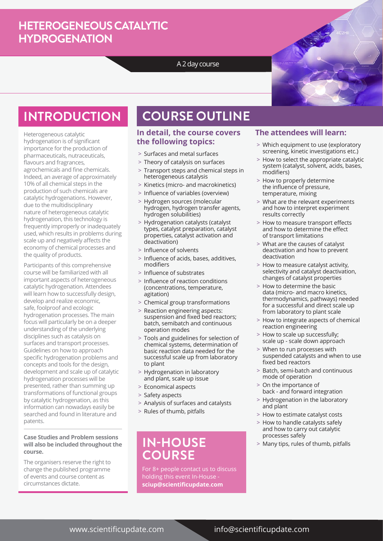### **HETEROGENEOUS CATALYTIC HYDROGENATION**

#### A 2 day course



## **INTRODUCTION**

Heterogeneous catalytic hydrogenation is of significant importance for the production of pharmaceuticals, nutraceuticals, flavours and fragrances, agrochemicals and fine chemicals. Indeed, an average of approximately 10% of all chemical steps in the production of such chemicals are catalytic hydrogenations. However, due to the multidisciplinary nature of heterogeneous catalytic hydrogenation, this technology is frequently improperly or inadequately used, which results in problems during scale up and negatively affects the economy of chemical processes and the quality of products.

Participants of this comprehensive course will be familiarized with all important aspects of heterogeneous catalytic hydrogenation. Attendees will learn how to successfully design, develop and realize economic, safe, foolproof and ecologic hydrogenation processes. The main focus will particularly be on a deeper understanding of the underlying disciplines such as catalysis on surfaces and transport processes. Guidelines on how to approach specific hydrogenation problems and concepts and tools for the design, development and scale up of catalytic hydrogenation processes will be presented, rather than summing up transformations of functional groups by catalytic hydrogenation, as this information can nowadays easily be searched and found in literature and patents.

#### **Case Studies and Problem sessions will also be included throughout the course.**

The organisers reserve the right to change the published programme of events and course content as circumstances dictate.

# **COURSE OUTLINE**

#### **In detail, the course covers the following topics:**

- > Surfaces and metal surfaces
- > Theory of catalysis on surfaces
- > Transport steps and chemical steps in heterogeneous catalysis
- > Kinetics (micro- and macrokinetics)
- > Influence of variables (overview)
- > Hydrogen sources (molecular hydrogen, hydrogen transfer agents, hydrogen solubilities)
- > Hydrogenation catalysts (catalyst types, catalyst preparation, catalyst properties, catalyst activation and deactivation)
- > Influence of solvents
- > Influence of acids, bases, additives, modifiers
- > Influence of substrates
- > Influence of reaction conditions (concentrations, temperature, agitation)
- > Chemical group transformations
- > Reaction engineering aspects: suspension and fixed bed reactors; batch, semibatch and continuous operation modes
- > Tools and guidelines for selection of chemical systems, determination of basic reaction data needed for the successful scale up from laboratory to plant
- > Hydrogenation in laboratory and plant, scale up issue
- > Economical aspects
- > Safety aspects
- > Analysis of surfaces and catalysts
- > Rules of thumb, pitfalls

### **IN-HOUSE** > Many tips, rules of thumb, pitfalls **COURSE**

For 8+ people contact us to discuss holding this event In-House **sciup@scientificupdate.com**

#### **The attendees will learn:**

- > Which equipment to use (exploratory screening, kinetic investigations etc.)
- > How to select the appropriate catalytic system (catalyst, solvent, acids, bases, modifiers)
- > How to properly determine the influence of pressure, temperature, mixing
- > What are the relevant experiments and how to interpret experiment results correctly
- > How to measure transport effects and how to determine the effect of transport limitations
- > What are the causes of catalyst deactivation and how to prevent deactivation
- > How to measure catalyst activity, selectivity and catalyst deactivation, changes of catalyst properties
- > How to determine the basic data (micro- and macro kinetics, thermodynamics, pathways) needed for a successful and direct scale up from laboratory to plant scale
- > How to integrate aspects of chemical reaction engineering
- > How to scale up successfully; scale up - scale down approach
- > When to run processes with suspended catalysts and when to use fixed bed reactors
- > Batch, semi-batch and continuous mode of operation
- > On the importance of back - and forward integration
- > Hydrogenation in the laboratory and plant
- > How to estimate catalyst costs
- > How to handle catalysts safely and how to carry out catalytic processes safely
- 

#### www.scientificupdate.com info@scientificupdate.com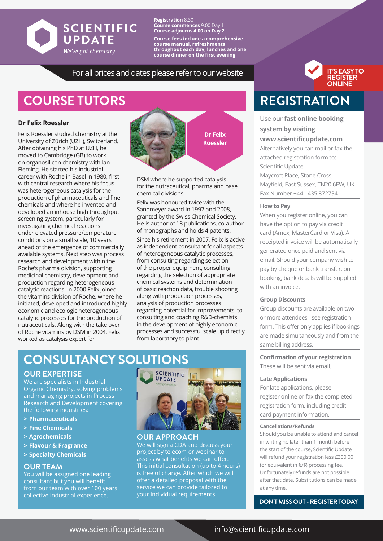

**Registration** 8.30 **Course commences** 9.00 Day 1 **Course adjourns 4.00 on Day 2 Course fees include a comprehensive course manual, refreshments throughout each day, lunches and one course dinner on the first evening**

#### For all prices and dates please refer to our website

## **COURSE TUTORS**

#### **Dr Felix Roessler**

Felix Roessler studied chemistry at the University of Zürich (UZH), Switzerland. After obtaining his PhD at UZH, he moved to Cambridge (GB) to work on organosilicon chemistry with Ian Fleming. He started his industrial career with Roche in Basel in 1980, first with central research where his focus was heterogeneous catalysis for the production of pharmaceuticals and fine chemicals and where he invented and developed an inhouse high throughput screening system, particularly for investigating chemical reactions under elevated pressure/temperature conditions on a small scale, 10 years ahead of the emergence of commercially available systems. Next step was process research and development within the Roche's pharma division, supporting medicinal chemistry, development and production regarding heterogeneous catalytic reactions. In 2000 Felix joined the vitamins division of Roche, where he initiated, developed and introduced highly economic and ecologic heterogeneous catalytic processes for the production of nutraceuticals. Along with the take over of Roche vitamins by DSM in 2004, Felix worked as catalysis expert for



DSM where he supported catalysis for the nutraceutical, pharma and base chemical divisions.

Felix was honoured twice with the Sandmeyer award in 1997 and 2008, granted by the Swiss Chemical Society. He is author of 18 publications, co-author of monographs and holds 4 patents.

Since his retirement in 2007, Felix is active as independent consultant for all aspects of heterogeneous catalytic processes, from consulting regarding selection of the proper equipment, consulting regarding the selection of appropriate chemical systems and determination of basic reaction data, trouble shooting along with production processes, analysis of production processes regarding potential for improvements, to consulting and coaching R&D-chemists in the development of highly economic processes and successful scale up directly from laboratory to plant.

## **CONSULTANCY SOLUTIONS**

#### **OUR EXPERTISE**

We are specialists in Industrial Organic Chemistry, solving problems and managing projects in Process Research and Development covering the following industries:

- **> Pharmaceuticals**
- **> Fine Chemicals**
- **> Agrochemicals**
- **> Flavour & Fragrance**
- **> Specialty Chemicals**

#### **OUR TEAM**

You will be assigned one leading consultant but you will benefit from our team with over 100 years collective industrial experience.



#### **OUR APPROACH**

We will sign a CDA and discuss your project by telecom or webinar to assess what benefits we can offer. This initial consultation (up to 4 hours) is free of charge. After which we will offer a detailed proposal with the service we can provide tailored to your individual requirements.



# **REGISTRATION**

### Use our **fast online booking**

#### **system by visiting**

#### **www.scientificupdate.com**

Alternatively you can mail or fax the attached registration form to: Scientific Update Maycroft Place, Stone Cross, Mayfield, East Sussex, TN20 6EW, UK Fax Number +44 1435 872734

#### **How to Pay**

When you register online, you can have the option to pay via credit card (Amex, MasterCard or Visa). A receipted invoice will be automatically generated once paid and sent via email. Should your company wish to pay by cheque or bank transfer, on booking, bank details will be supplied with an invoice.

#### **Group Discounts**

Group discounts are available on two or more attendees - see registration form. This offer only applies if bookings are made simultaneously and from the same billing address.

**Confirmation of your registration**  These will be sent via email.

#### **Late Applications**

For late applications, please register online or fax the completed registration form, including credit card payment information.

#### **Cancellations/Refunds**

Should you be unable to attend and cancel in writing no later than 1 month before the start of the course, Scientific Update will refund your registration less £300.00 (or equivalent in €/\$) processing fee. Unfortunately refunds are not possible after that date. Substitutions can be made at any time.

**DON'T MISS OUT - REGISTER TODAY**

#### www.scientificupdate.com info@scientificupdate.com